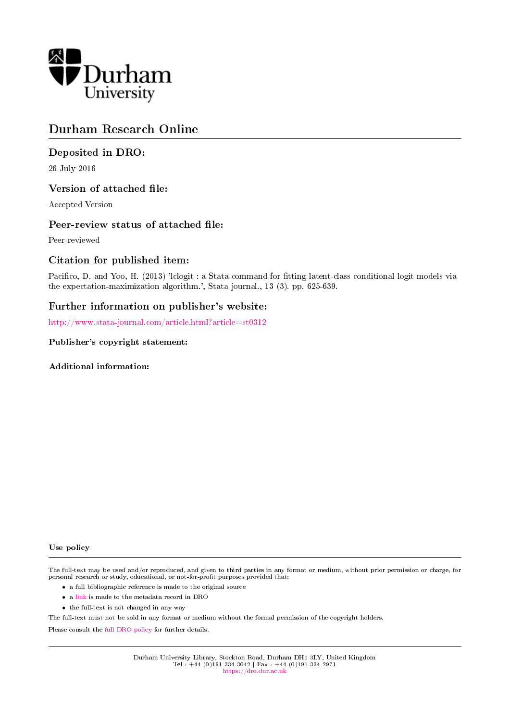

# Durham Research Online

# Deposited in DRO:

26 July 2016

### Version of attached file:

Accepted Version

### Peer-review status of attached file:

Peer-reviewed

# Citation for published item:

Pacifico, D. and Yoo, H. (2013) 'lclogit : a Stata command for fitting latent-class conditional logit models via the expectation-maximization algorithm.', Stata journal., 13 (3). pp. 625-639.

# Further information on publisher's website:

<http://www.stata-journal.com/article.html?article=st0312>

#### Publisher's copyright statement:

Additional information:

#### Use policy

The full-text may be used and/or reproduced, and given to third parties in any format or medium, without prior permission or charge, for personal research or study, educational, or not-for-profit purposes provided that:

- a full bibliographic reference is made to the original source
- a [link](http://dro.dur.ac.uk/19354/) is made to the metadata record in DRO
- the full-text is not changed in any way

The full-text must not be sold in any format or medium without the formal permission of the copyright holders.

Please consult the [full DRO policy](https://dro.dur.ac.uk/policies/usepolicy.pdf) for further details.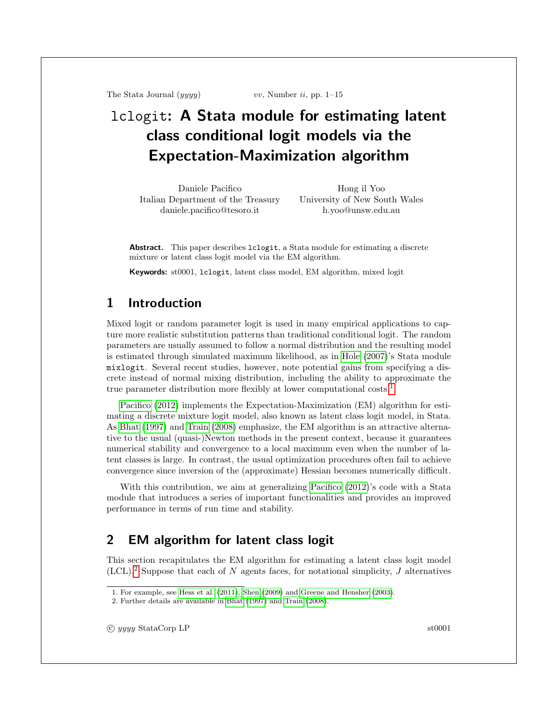<span id="page-1-0"></span>The Stata Journal  $(yyyy)$  vv, Number ii, pp. 1–15

# lclogit: A Stata module for estimating latent class conditional logit models via the Expectation-Maximization algorithm

Daniele Pacifico Italian Department of the Treasury daniele.pacifico@tesoro.it

Hong il Yoo University of New South Wales h.yoo@unsw.edu.au

Abstract. This paper describes lclogit, a Stata module for estimating a discrete mixture or latent class logit model via the EM algorithm.

Keywords: st0001, lclogit, latent class model, EM algorithm, mixed logit

# 1 Introduction

Mixed logit or random parameter logit is used in many empirical applications to capture more realistic substitution patterns than traditional conditional logit. The random parameters are usually assumed to follow a normal distribution and the resulting model is estimated through simulated maximum likelihood, as in [Hole](#page-14-0) [\(2007\)](#page-14-0)'s Stata module mixlogit. Several recent studies, however, note potential gains from specifying a discrete instead of normal mixing distribution, including the ability to approximate the true parameter distribution more flexibly at lower computational costs.<sup>1</sup>

[Pacifico](#page-14-1) [\(2012\)](#page-14-1) implements the Expectation-Maximization (EM) algorithm for estimating a discrete mixture logit model, also known as latent class logit model, in Stata. As [Bhat](#page-14-2) [\(1997\)](#page-14-2) and [Train](#page-14-3) [\(2008\)](#page-14-3) emphasize, the EM algorithm is an attractive alternative to the usual (quasi-)Newton methods in the present context, because it guarantees numerical stability and convergence to a local maximum even when the number of latent classes is large. In contrast, the usual optimization procedures often fail to achieve convergence since inversion of the (approximate) Hessian becomes numerically difficult.

With this contribution, we aim at generalizing [Pacifico](#page-14-1) [\(2012\)](#page-14-1)'s code with a Stata module that introduces a series of important functionalities and provides an improved performance in terms of run time and stability.

# <span id="page-1-1"></span>2 EM algorithm for latent class logit

This section recapitulates the EM algorithm for estimating a latent class logit model  $(CL)$ .<sup>2</sup> Suppose that each of N agents faces, for notational simplicity, J alternatives

c yyyy StataCorp LP st0001

<sup>1.</sup> For example, see [Hess et al.](#page-14-4) [\(2011\)](#page-14-4), [Shen](#page-14-5) [\(2009\)](#page-14-5) and [Greene and Hensher](#page-14-6) [\(2003\)](#page-14-6).

<sup>2.</sup> Further details are available in [Bhat](#page-14-2) [\(1997\)](#page-14-2) and [Train](#page-14-3) [\(2008\)](#page-14-3).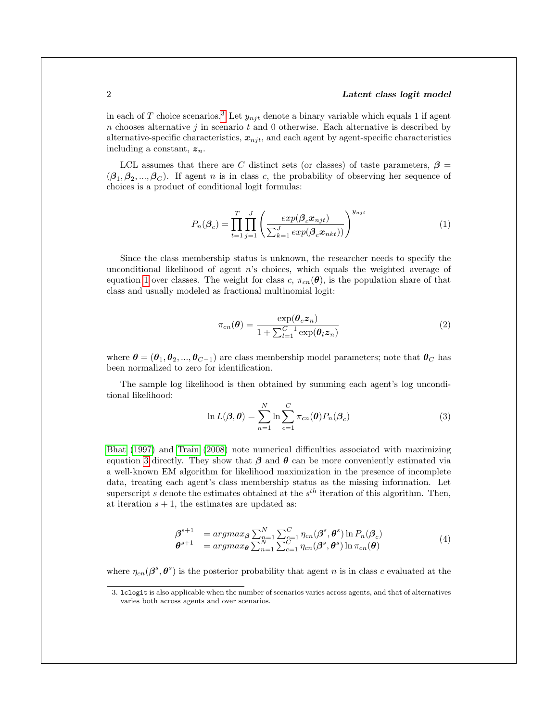#### 2 Latent class logit model

in each of T choice scenarios.<sup>[3](#page-1-0)</sup> Let  $y_{nit}$  denote a binary variable which equals 1 if agent  $n$  chooses alternative  $j$  in scenario  $t$  and 0 otherwise. Each alternative is described by alternative-specific characteristics,  $x_{nji}$ , and each agent by agent-specific characteristics including a constant,  $z_n$ .

<span id="page-2-0"></span>LCL assumes that there are C distinct sets (or classes) of taste parameters,  $\beta$  =  $(\beta_1, \beta_2, ..., \beta_C)$ . If agent *n* is in class *c*, the probability of observing her sequence of choices is a product of conditional logit formulas:

$$
P_n(\boldsymbol{\beta}_c) = \prod_{t=1}^T \prod_{j=1}^J \left( \frac{exp(\boldsymbol{\beta}_c \boldsymbol{x}_{njt})}{\sum_{k=1}^J exp(\boldsymbol{\beta}_c \boldsymbol{x}_{nkt}))} \right)^{y_{njt}} \tag{1}
$$

<span id="page-2-2"></span>Since the class membership status is unknown, the researcher needs to specify the unconditional likelihood of agent n's choices, which equals the weighted average of equation [1](#page-2-0) over classes. The weight for class c,  $\pi_{cn}(\theta)$ , is the population share of that class and usually modeled as fractional multinomial logit:

$$
\pi_{cn}(\boldsymbol{\theta}) = \frac{\exp(\boldsymbol{\theta}_c \boldsymbol{z}_n)}{1 + \sum_{l=1}^{C-1} \exp(\boldsymbol{\theta}_l \boldsymbol{z}_n)}
$$
(2)

where  $\theta = (\theta_1, \theta_2, ..., \theta_{C-1})$  are class membership model parameters; note that  $\theta_C$  has been normalized to zero for identification.

The sample log likelihood is then obtained by summing each agent's log unconditional likelihood:

<span id="page-2-1"></span>
$$
\ln L(\boldsymbol{\beta}, \boldsymbol{\theta}) = \sum_{n=1}^{N} \ln \sum_{c=1}^{C} \pi_{cn}(\boldsymbol{\theta}) P_n(\boldsymbol{\beta}_c)
$$
(3)

[Bhat](#page-14-2) [\(1997\)](#page-14-2) and [Train](#page-14-3) [\(2008\)](#page-14-3) note numerical difficulties associated with maximizing equation [3](#page-2-1) directly. They show that  $\beta$  and  $\theta$  can be more conveniently estimated via a well-known EM algorithm for likelihood maximization in the presence of incomplete data, treating each agent's class membership status as the missing information. Let superscript s denote the estimates obtained at the  $s^{th}$  iteration of this algorithm. Then, at iteration  $s + 1$ , the estimates are updated as:

$$
\begin{array}{ll}\n\boldsymbol{\beta}^{s+1} &= \operatorname{argmax}_{\boldsymbol{\beta}} \sum_{n=1}^{N} \sum_{c=1}^{C} \eta_{cn}(\boldsymbol{\beta}^s, \boldsymbol{\theta}^s) \ln P_n(\boldsymbol{\beta}_c) \\
\boldsymbol{\theta}^{s+1} &= \operatorname{argmax}_{\boldsymbol{\theta}} \sum_{n=1}^{N} \sum_{c=1}^{C} \eta_{cn}(\boldsymbol{\beta}^s, \boldsymbol{\theta}^s) \ln \pi_{cn}(\boldsymbol{\theta})\n\end{array} \tag{4}
$$

where  $\eta_{cn}(\beta^s, \theta^s)$  is the posterior probability that agent n is in class c evaluated at the

<sup>3.</sup> lclogit is also applicable when the number of scenarios varies across agents, and that of alternatives varies both across agents and over scenarios.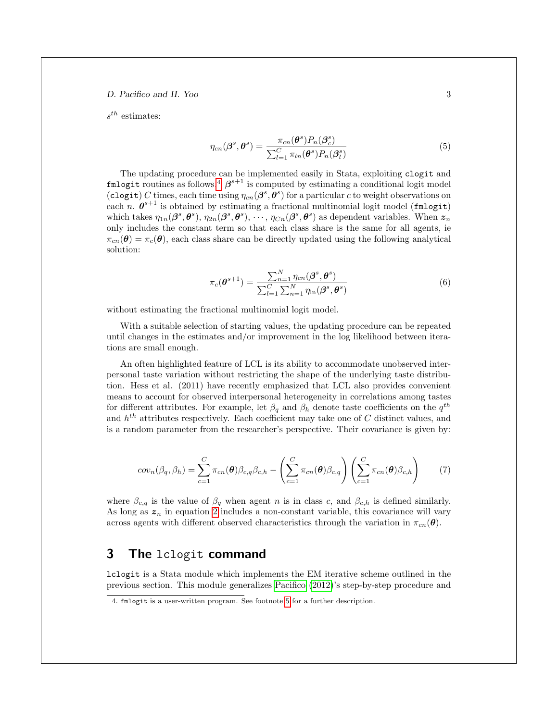<span id="page-3-2"></span> $s^{th}$  estimates:

$$
\eta_{cn}(\boldsymbol{\beta}^s, \boldsymbol{\theta}^s) = \frac{\pi_{cn}(\boldsymbol{\theta}^s) P_n(\boldsymbol{\beta}_c^s)}{\sum_{l=1}^C \pi_{ln}(\boldsymbol{\theta}^s) P_n(\boldsymbol{\beta}_l^s)}
$$
(5)

The updating procedure can be implemented easily in Stata, exploiting clogit and fmlogit routines as follows.<sup>[4](#page-1-0)</sup>  $\beta^{s+1}$  is computed by estimating a conditional logit model (clogit) C times, each time using  $\eta_{cn}(\beta^s, \theta^s)$  for a particular c to weight observations on each n.  $\theta^{s+1}$  is obtained by estimating a fractional multinomial logit model (fmlogit) which takes  $\eta_{1n}(\beta^s, \theta^s), \eta_{2n}(\beta^s, \theta^s), \cdots, \eta_{Cn}(\beta^s, \theta^s)$  as dependent variables. When  $z_n$ only includes the constant term so that each class share is the same for all agents, ie  $\pi_{cn}(\theta) = \pi_c(\theta)$ , each class share can be directly updated using the following analytical solution:

$$
\pi_c(\boldsymbol{\theta}^{s+1}) = \frac{\sum_{n=1}^N \eta_{cn}(\boldsymbol{\beta}^s, \boldsymbol{\theta}^s)}{\sum_{l=1}^C \sum_{n=1}^N \eta_{ln}(\boldsymbol{\beta}^s, \boldsymbol{\theta}^s)}
$$
(6)

<span id="page-3-1"></span>without estimating the fractional multinomial logit model.

With a suitable selection of starting values, the updating procedure can be repeated until changes in the estimates and/or improvement in the log likelihood between iterations are small enough.

An often highlighted feature of LCL is its ability to accommodate unobserved interpersonal taste variation without restricting the shape of the underlying taste distribution. Hess et al. (2011) have recently emphasized that LCL also provides convenient means to account for observed interpersonal heterogeneity in correlations among tastes for different attributes. For example, let  $\beta_q$  and  $\beta_h$  denote taste coefficients on the  $q^{th}$ and  $h^{th}$  attributes respectively. Each coefficient may take one of C distinct values, and is a random parameter from the researcher's perspective. Their covariance is given by:

<span id="page-3-3"></span>
$$
cov_n(\beta_q, \beta_h) = \sum_{c=1}^{C} \pi_{cn}(\boldsymbol{\theta}) \beta_{c,q} \beta_{c,h} - \left(\sum_{c=1}^{C} \pi_{cn}(\boldsymbol{\theta}) \beta_{c,q}\right) \left(\sum_{c=1}^{C} \pi_{cn}(\boldsymbol{\theta}) \beta_{c,h}\right)
$$
(7)

where  $\beta_{c,q}$  is the value of  $\beta_q$  when agent n is in class c, and  $\beta_{c,h}$  is defined similarly. As long as  $z_n$  in equation [2](#page-2-2) includes a non-constant variable, this covariance will vary across agents with different observed characteristics through the variation in  $\pi_{cn}(\theta)$ .

# <span id="page-3-0"></span>3 The lclogit command

lclogit is a Stata module which implements the EM iterative scheme outlined in the previous section. This module generalizes [Pacifico](#page-14-1) [\(2012\)](#page-14-1)'s step-by-step procedure and

<sup>4.</sup> fmlogit is a user-written program. See footnote [5](#page-3-0) for a further description.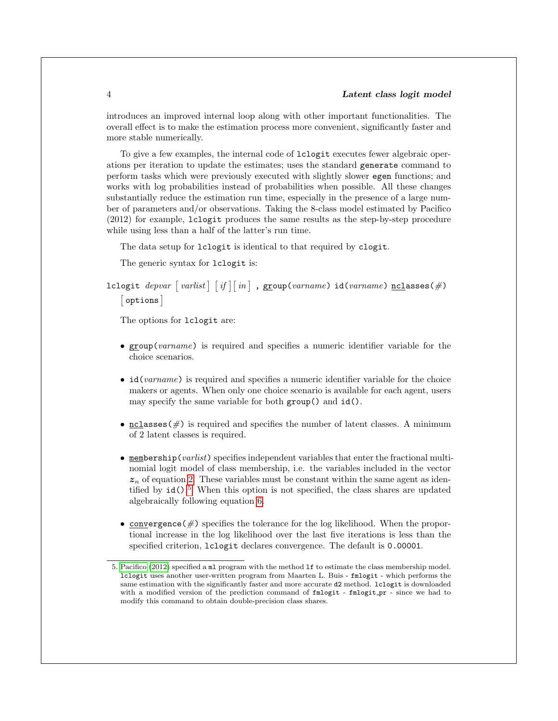introduces an improved internal loop along with other important functionalities. The overall effect is to make the estimation process more convenient, significantly faster and more stable numerically.

To give a few examples, the internal code of lclogit executes fewer algebraic operations per iteration to update the estimates; uses the standard generate command to perform tasks which were previously executed with slightly slower egen functions; and works with log probabilities instead of probabilities when possible. All these changes substantially reduce the estimation run time, especially in the presence of a large number of parameters and/or observations. Taking the 8-class model estimated by Pacifico (2012) for example, lclogit produces the same results as the step-by-step procedure while using less than a half of the latter's run time.

The data setup for lclogit is identical to that required by clogit.

The generic syntax for lclogit is:

lclogit  $\emph{depvar}$   $[\emph{varlist}]\,\, [\emph{if} \,] [\emph{in}]$  ,  $\emph{group}$   $\emph{varname})$   $\emph{id}$   $\emph{(varname)}$   $\emph{nclasses}$   $\#$   $\emph{)}$ [options]

The options for lclogit are:

- group(varname) is required and specifies a numeric identifier variable for the choice scenarios.
- id(varname) is required and specifies a numeric identifier variable for the choice makers or agents. When only one choice scenario is available for each agent, users may specify the same variable for both group() and id().
- nclasses  $(\#)$  is required and specifies the number of latent classes. A minimum of 2 latent classes is required.
- $\bullet$  membership(*varlist*) specifies independent variables that enter the fractional multinomial logit model of class membership, i.e. the variables included in the vector  $z_n$  of equation [2.](#page-2-2) These variables must be constant within the same agent as identified by  $id()$ .<sup>[5](#page-1-0)</sup> When this option is not specified, the class shares are updated algebraically following equation [6.](#page-3-1)
- convergence  $(\#)$  specifies the tolerance for the log likelihood. When the proportional increase in the log likelihood over the last five iterations is less than the specified criterion, lclogit declares convergence. The default is 0.00001.

<sup>5.</sup> [Pacifico](#page-14-1) [\(2012\)](#page-14-1) specified a ml program with the method lf to estimate the class membership model. lclogit uses another user-written program from Maarten L. Buis - fmlogit - which performs the same estimation with the significantly faster and more accurate d2 method. lclogit is downloaded with a modified version of the prediction command of  $fmlogit$  -  $fmlogit_pr$  - since we had to modify this command to obtain double-precision class shares.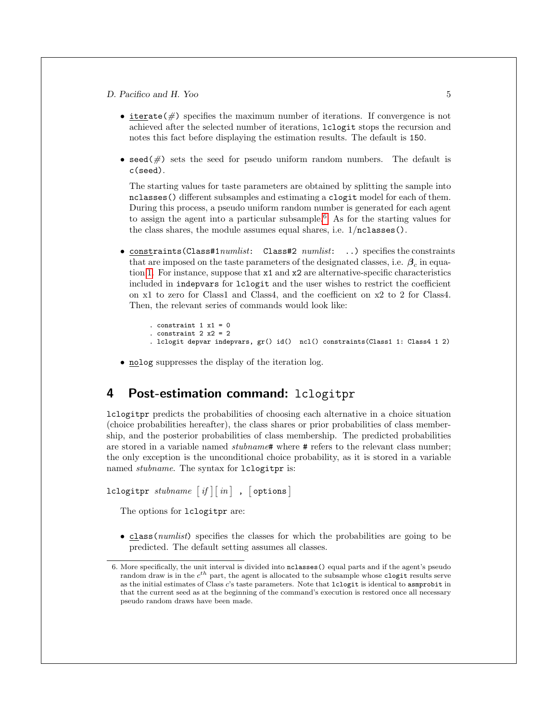- iterate( $\#$ ) specifies the maximum number of iterations. If convergence is not achieved after the selected number of iterations, lclogit stops the recursion and notes this fact before displaying the estimation results. The default is 150.
- seed( $\#$ ) sets the seed for pseudo uniform random numbers. The default is c(seed).

The starting values for taste parameters are obtained by splitting the sample into nclasses() different subsamples and estimating a clogit model for each of them. During this process, a pseudo uniform random number is generated for each agent to assign the agent into a particular subsample.<sup>[6](#page-1-0)</sup> As for the starting values for the class shares, the module assumes equal shares, i.e. 1/nclasses().

• constraints (Class#1numlist: Class#2 numlist: ..) specifies the constraints that are imposed on the taste parameters of the designated classes, i.e.  $\beta_c$  in equation [1.](#page-2-0) For instance, suppose that x1 and x2 are alternative-specific characteristics included in indepvars for lclogit and the user wishes to restrict the coefficient on x1 to zero for Class1 and Class4, and the coefficient on x2 to 2 for Class4. Then, the relevant series of commands would look like:

```
. constraint 1 x1 = 0. constraint 2 x2 = 2. lclogit depvar indepvars, gr() id() ncl() constraints(Class1 1: Class4 1 2)
```
• nolog suppresses the display of the iteration log.

# 4 Post-estimation command: lclogitpr

lclogitpr predicts the probabilities of choosing each alternative in a choice situation (choice probabilities hereafter), the class shares or prior probabilities of class membership, and the posterior probabilities of class membership. The predicted probabilities are stored in a variable named *stubname*# where # refers to the relevant class number; the only exception is the unconditional choice probability, as it is stored in a variable named *stubname*. The syntax for lclogitpr is:

```
lclogitpr \it{stubname} \lceil \it{if} \rceil \lceil \it{in} \rceil , \lceil \it{options} \rceil
```
The options for lclogitpr are:

• class (*numlist*) specifies the classes for which the probabilities are going to be predicted. The default setting assumes all classes.

<sup>6.</sup> More specifically, the unit interval is divided into nclasses() equal parts and if the agent's pseudo random draw is in the  $c^{th}$  part, the agent is allocated to the subsample whose clogit results serve as the initial estimates of Class c's taste parameters. Note that lclogit is identical to asmprobit in that the current seed as at the beginning of the command's execution is restored once all necessary pseudo random draws have been made.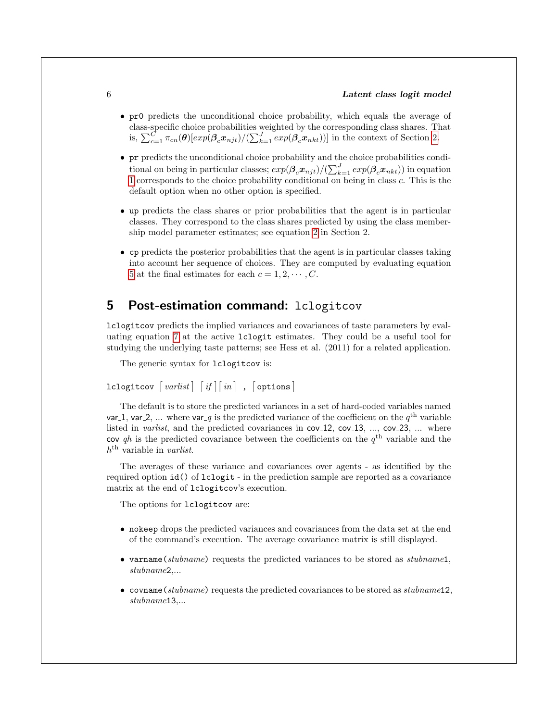- pr0 predicts the unconditional choice probability, which equals the average of class-specific choice probabilities weighted by the corresponding class shares. That is,  $\sum_{c=1}^C \pi_{cn}(\theta) [exp(\beta_c x_{njt})/(\sum_{k=1}^J exp(\beta_c x_{nkt}))]$  in the context of Section [2.](#page-1-1)
- pr predicts the unconditional choice probability and the choice probabilities conditional on being in particular classes;  $exp(\beta_c x_{njt})/(\sum_{k=1}^{J} exp(\beta_c x_{nkt}))$  in equation [1](#page-2-0) corresponds to the choice probability conditional on being in class c. This is the default option when no other option is specified.
- up predicts the class shares or prior probabilities that the agent is in particular classes. They correspond to the class shares predicted by using the class membership model parameter estimates; see equation [2](#page-2-2) in Section 2.
- cp predicts the posterior probabilities that the agent is in particular classes taking into account her sequence of choices. They are computed by evaluating equation [5](#page-3-2) at the final estimates for each  $c = 1, 2, \cdots, C$ .

# 5 Post-estimation command: lclogitcov

lclogitcov predicts the implied variances and covariances of taste parameters by evaluating equation [7](#page-3-3) at the active lclogit estimates. They could be a useful tool for studying the underlying taste patterns; see Hess et al. (2011) for a related application.

The generic syntax for lclogitcov is:

```
lclogitcov \lceil \mathit{varlist} \rceil \: \lceil \mathit{if} \rceil \lceil \mathit{in} \rceil , \lceil \text{options} \rceil
```
The default is to store the predicted variances in a set of hard-coded variables named var 1, var 2, ... where var q is the predicted variance of the coefficient on the  $q<sup>th</sup>$  variable listed in *varlist*, and the predicted covariances in  $cov_1 12$ ,  $cov_1 13$ , ...,  $cov_2 23$ , ... where cov qh is the predicted covariance between the coefficients on the  $q<sup>th</sup>$  variable and the  $h<sup>th</sup>$  variable in *varlist*.

The averages of these variance and covariances over agents - as identified by the required option id() of lclogit - in the prediction sample are reported as a covariance matrix at the end of lclogitcov's execution.

The options for lclogitcov are:

- nokeep drops the predicted variances and covariances from the data set at the end of the command's execution. The average covariance matrix is still displayed.
- varname(stubname) requests the predicted variances to be stored as stubname1, stubname2,...
- covname(stubname) requests the predicted covariances to be stored as stubname12, stubname13,...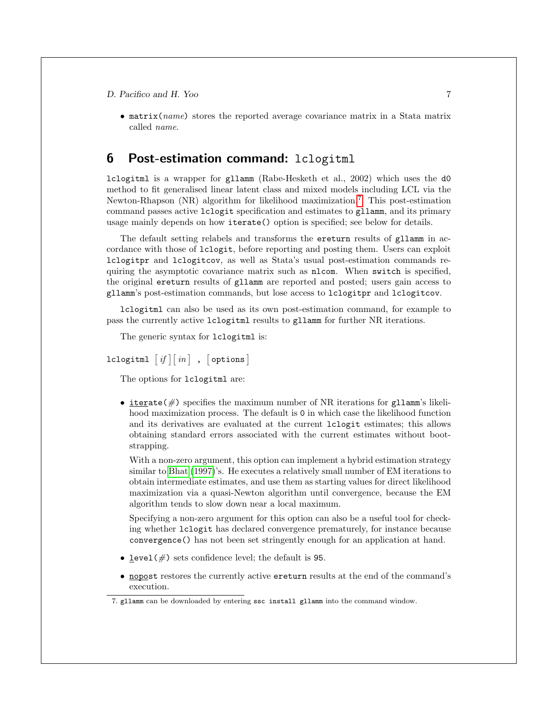• matrix(name) stores the reported average covariance matrix in a Stata matrix called name.

### <span id="page-7-0"></span>6 Post-estimation command: lclogitml

lclogitml is a wrapper for gllamm (Rabe-Hesketh et al., 2002) which uses the d0 method to fit generalised linear latent class and mixed models including LCL via the Newton-Rhapson (NR) algorithm for likelihood maximization.<sup>[7](#page-1-0)</sup> This post-estimation command passes active lclogit specification and estimates to gllamm, and its primary usage mainly depends on how iterate() option is specified; see below for details.

The default setting relabels and transforms the ereturn results of gllamm in accordance with those of lclogit, before reporting and posting them. Users can exploit lclogitpr and lclogitcov, as well as Stata's usual post-estimation commands requiring the asymptotic covariance matrix such as nlcom. When switch is specified, the original ereturn results of gllamm are reported and posted; users gain access to gllamm's post-estimation commands, but lose access to lclogitpr and lclogitcov.

lclogitml can also be used as its own post-estimation command, for example to pass the currently active lclogitml results to gllamm for further NR iterations.

The generic syntax for lclogitml is:

lclogitml  $\left\lceil \, \textit{if} \, \right\rceil \left\lceil \textit{in} \, \right\rceil$  ,  $\left\lceil \, \textsf{options} \, \right\rceil$ 

The options for lclogitml are:

• iterate( $\#$ ) specifies the maximum number of NR iterations for gllamm's likelihood maximization process. The default is 0 in which case the likelihood function and its derivatives are evaluated at the current lclogit estimates; this allows obtaining standard errors associated with the current estimates without bootstrapping.

With a non-zero argument, this option can implement a hybrid estimation strategy similar to [Bhat](#page-14-2) [\(1997\)](#page-14-2)'s. He executes a relatively small number of EM iterations to obtain intermediate estimates, and use them as starting values for direct likelihood maximization via a quasi-Newton algorithm until convergence, because the EM algorithm tends to slow down near a local maximum.

Specifying a non-zero argument for this option can also be a useful tool for checking whether lclogit has declared convergence prematurely, for instance because convergence() has not been set stringently enough for an application at hand.

- level( $\#$ ) sets confidence level; the default is 95.
- nopost restores the currently active ereturn results at the end of the command's execution.

<sup>7.</sup> gllamm can be downloaded by entering ssc install gllamm into the command window.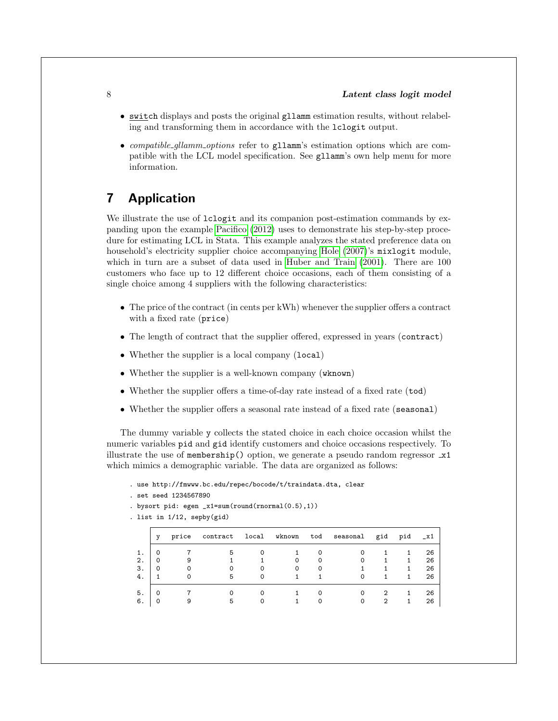- switch displays and posts the original gllamm estimation results, without relabeling and transforming them in accordance with the lclogit output.
- compatible\_gllamm\_options refer to gllamm's estimation options which are compatible with the LCL model specification. See gllamm's own help menu for more information.

# 7 Application

We illustrate the use of  $lcl$ ogit and its companion post-estimation commands by expanding upon the example [Pacifico](#page-14-1) [\(2012\)](#page-14-1) uses to demonstrate his step-by-step procedure for estimating LCL in Stata. This example analyzes the stated preference data on household's electricity supplier choice accompanying [Hole](#page-14-0) [\(2007\)](#page-14-0)'s mixlogit module, which in turn are a subset of data used in [Huber and Train](#page-14-7) [\(2001\)](#page-14-7). There are 100 customers who face up to 12 different choice occasions, each of them consisting of a single choice among 4 suppliers with the following characteristics:

- The price of the contract (in cents per kWh) whenever the supplier offers a contract with a fixed rate (price)
- The length of contract that the supplier offered, expressed in years (contract)
- Whether the supplier is a local company (local)
- Whether the supplier is a well-known company (wknown)
- Whether the supplier offers a time-of-day rate instead of a fixed rate (tod)
- Whether the supplier offers a seasonal rate instead of a fixed rate (seasonal)

The dummy variable y collects the stated choice in each choice occasion whilst the numeric variables pid and gid identify customers and choice occasions respectively. To illustrate the use of membership() option, we generate a pseudo random regressor  $\mathbf{x}$ 1 which mimics a demographic variable. The data are organized as follows:

- . use http://fmwww.bc.edu/repec/bocode/t/traindata.dta, clear
- . set seed 1234567890
- . bysort pid: egen \_x1=sum(round(rnormal(0.5),1))
- . list in 1/12, sepby(gid)

|    | v | price contract local wknown |   | tod | seasonal gid | pid | $^{-x1}$ |
|----|---|-----------------------------|---|-----|--------------|-----|----------|
| 1. |   |                             |   |     | 0            |     | 26       |
| 2. |   |                             | 0 |     | 0            |     | 26       |
| 3. |   |                             | 0 |     |              |     | 26       |
| 4. |   |                             |   |     |              |     | 26       |
| 5. |   |                             |   |     |              |     | 26       |
| 6. |   |                             |   |     |              |     | 26       |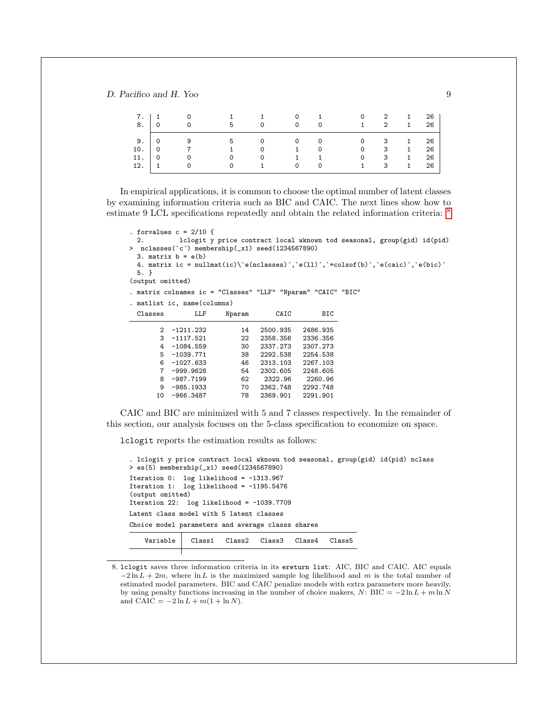| 7.<br>8. |                | $\Omega$ | 5        | $\Omega$ | $\Omega$<br>$\Omega$ | 1.<br>$\Omega$ | $\Omega$<br>$\mathbf{1}$ | 2<br>2 | 1<br>$1 \quad$ | 26<br>26 |
|----------|----------------|----------|----------|----------|----------------------|----------------|--------------------------|--------|----------------|----------|
| 9. '     |                | - 9      | -5       |          | $\overline{O}$       | $\circ$        |                          | - 3    | $1 \quad$      | 26       |
| 10.      | $\overline{0}$ |          |          | 0        | $\mathbf{1}$         | 0              | 0                        | -3     | 1              | 26       |
| 11.      | $\Omega$       |          | 0        | $\Omega$ | $\mathbf{1}$         |                | $\Omega$                 | -3     | $\mathbf{1}$   | 26       |
| 12.      |                | $\Omega$ | $\Omega$ |          | $\Omega$             | $\Omega$       | 1.                       | 3      | $1 \quad$      | 26       |

In empirical applications, it is common to choose the optimal number of latent classes by examining information criteria such as BIC and CAIC. The next lines show how to estimate 9 LCL specifications repeatedly and obtain the related information criteria: [8](#page-1-0)

```
. forvalues c = 2/10 {<br>2. lclogit y
           2. lclogit y price contract local wknown tod seasonal, group(gid) id(pid)
> nclasses(`c^) membership(_x1) seed(1234567890)
 3. matrix b = e(b)4. matrix ic = nullmat(ic)\'e(nclasses)','e(ll)','=colsof(b)','e(caic)','e(bic)'
 5. }
(output omitted)
. matrix colnames ic = "Classes" "LLF" "Nparam" "CAIC" "BIC"
. matlist ic, name(columns)
 Classes LLF Nparam CAIC BIC
       2 -1211.232 14 2500.935 2486.935
       3 -1117.521 22 2358.356 2336.356
       4 -1084.5595 -1039.771 38 2292.538 2254.538
       6 -1027.633 46 2313.103 2267.103
       7 -999.9628 54 2302.605 2248.605
       8 -987.7199 62 2322.96<br>9 -985.1933 70 2362.748
       9 -985.1933 70 2362.748 2292.748
      10 -966.3487 78 2369.901 2291.901
```
CAIC and BIC are minimized with 5 and 7 classes respectively. In the remainder of this section, our analysis focuses on the 5-class specification to economize on space.

lclogit reports the estimation results as follows:

```
. lclogit y price contract local wknown tod seasonal, group(gid) id(pid) nclass
> es(5) membership(_x1) seed(1234567890)
Iteration 0: log likelihood = -1313.967
Iteration 1: log likelihood = -1195.5476
(output omitted)
Iteration 22: log likelihood = -1039.7709
Latent class model with 5 latent classes
Choice model parameters and average classs shares
    Variable Class1 Class2 Class3 Class4 Class5
```
<sup>8.</sup> lclogit saves three information criteria in its ereturn list: AIC, BIC and CAIC. AIC equals  $-2 \ln L + 2m$ , where  $\ln L$  is the maximized sample log likelihood and m is the total number of estimated model parameters. BIC and CAIC penalize models with extra parameters more heavily, by using penalty functions increasing in the number of choice makers, N: BIC =  $-2 \ln L + m \ln N$ and CAIC =  $-2 \ln L + m(1 + \ln N)$ .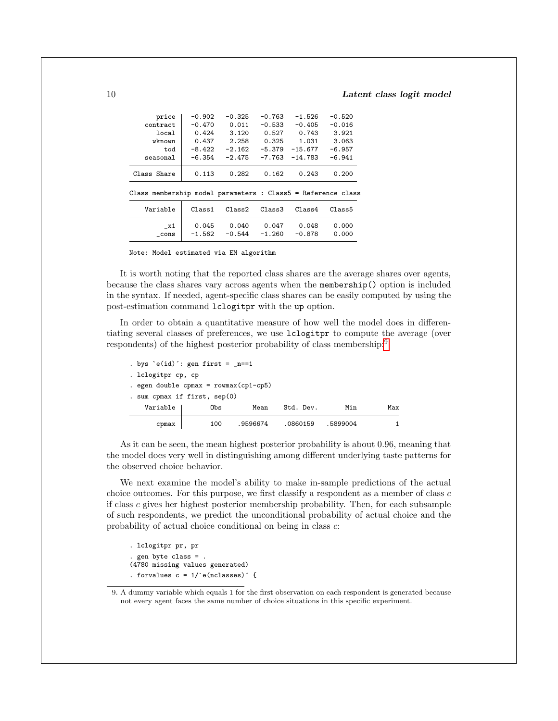10 Latent class logit model

| price                                                        | $-0.902$           | $-0.325$ | $-0.763$ | $-1.526$  | $-0.520$ |
|--------------------------------------------------------------|--------------------|----------|----------|-----------|----------|
| contract                                                     | $-0.470$           | 0.011    | $-0.533$ | $-0.405$  | $-0.016$ |
| local                                                        | 0.424              | 3.120    | 0.527    | 0.743     | 3.921    |
| wknown                                                       | 0.437              | 2.258    | 0.325    | 1.031     | 3.063    |
| tod                                                          | $-8.422$           | $-2.162$ | $-5.379$ | $-15.677$ | $-6.957$ |
| seasonal                                                     | $-6.354$           | $-2.475$ | $-7.763$ | $-14.783$ | $-6.941$ |
| Class Share                                                  | 0.113              | 0.282    | 0.162    | 0.243     | 0.200    |
| Class membership model parameters : Class5 = Reference class |                    |          |          |           |          |
| Variable                                                     | Class <sub>1</sub> | Class2   | Class3   | Class4    | Class5   |
| x1                                                           | 0.045              | 0.040    | 0.047    | 0.048     | 0.000    |
| cons                                                         | $-1.562$           | $-0.544$ | $-1.260$ | $-0.878$  | 0.000    |

Note: Model estimated via EM algorithm

It is worth noting that the reported class shares are the average shares over agents, because the class shares vary across agents when the membership() option is included in the syntax. If needed, agent-specific class shares can be easily computed by using the post-estimation command lclogitpr with the up option.

In order to obtain a quantitative measure of how well the model does in differentiating several classes of preferences, we use lclogitpr to compute the average (over respondents) of the highest posterior probability of class membership:[9](#page-1-0)

| . bys $\text{`e(id)':}$ gen first = $_n == 1$ |     |          |           |          |     |  |  |  |
|-----------------------------------------------|-----|----------|-----------|----------|-----|--|--|--|
| . lclogitpr cp, cp                            |     |          |           |          |     |  |  |  |
| . egen double $cpmax = rowmax(cp1-cp5)$       |     |          |           |          |     |  |  |  |
| . sum cpmax if first, sep(0)                  |     |          |           |          |     |  |  |  |
| Variable                                      | Obs | Mean     | Std. Dev. | Min      | Max |  |  |  |
| cpmax                                         | 100 | .9596674 | .0860159  | .5899004 |     |  |  |  |

As it can be seen, the mean highest posterior probability is about 0.96, meaning that the model does very well in distinguishing among different underlying taste patterns for the observed choice behavior.

We next examine the model's ability to make in-sample predictions of the actual choice outcomes. For this purpose, we first classify a respondent as a member of class  $c$ if class c gives her highest posterior membership probability. Then, for each subsample of such respondents, we predict the unconditional probability of actual choice and the probability of actual choice conditional on being in class c:

```
. lclogitpr pr, pr
  . gen byte class = .
(4780 missing values generated)
. forvalues c = 1<sup>'</sup> e(nclasses)<sup>\cdot</sup> {
```
<sup>9.</sup> A dummy variable which equals 1 for the first observation on each respondent is generated because not every agent faces the same number of choice situations in this specific experiment.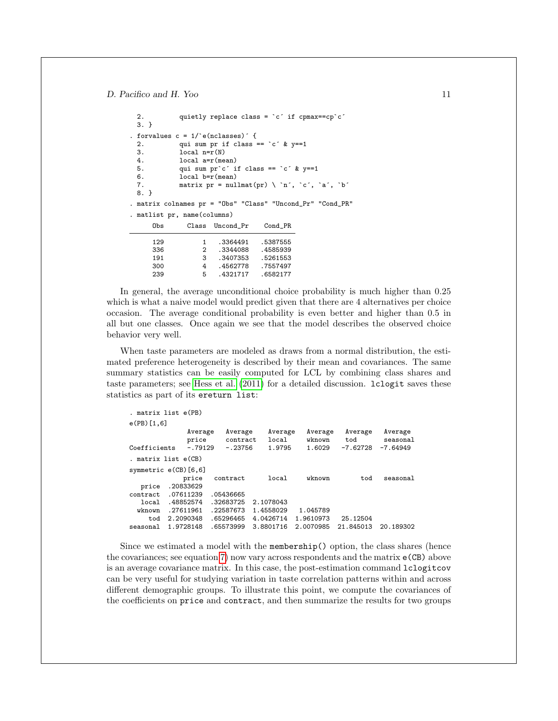```
2. quietly replace class = `c´ if cpmax==cp`c´
 3. }
. forvalues c = 1/e(nclasses) {<br>2. qui sum pr if class :
 2. qui sum pr if class == \text{`c' } \& y==1<br>3. local n=r(N)local n=r(N)4. local a=r(mean)
 5. qui sum \text{pr}^c if class == \text{°}c^{\prime} & y == 1
 6. local b=r(mean)
 7. matrix pr = nullmat(pr) \ \ i^n, 'c', 'a', 'b'8. }
. matrix colnames pr = "Obs" "Class" "Uncond_Pr" "Cond_PR"
. matlist pr, name(columns)
     Obs Class Uncond_Pr Cond_PR
     129 1 .3364491 .5387555
                  2 .3344088
     191 3 .3407353 .5261553
     300 4 .4562778 .7557497
                      .4321717
```
In general, the average unconditional choice probability is much higher than 0.25 which is what a naive model would predict given that there are 4 alternatives per choice occasion. The average conditional probability is even better and higher than 0.5 in all but one classes. Once again we see that the model describes the observed choice behavior very well.

When taste parameters are modeled as draws from a normal distribution, the estimated preference heterogeneity is described by their mean and covariances. The same summary statistics can be easily computed for LCL by combining class shares and taste parameters; see [Hess et al.](#page-14-4) [\(2011\)](#page-14-4) for a detailed discussion. lclogit saves these statistics as part of its ereturn list:

```
. matrix list e(PB)
e(PB)[1,6]
              Average Average Average Average Average Average
               price contract local wknown tod seasonal<br>-.79129 -.23756 1.9795 1.6029 -7.62728 -7.64949
Coefficients
. matrix list e(CB)
symmetric e(CB)[6,6]
             price contract local wknown tod seasonal
  price .20833629
contract .07611239 .05436665
  local .48852574 .32683725 2.1078043
  wknown .27611961 .22587673 1.4558029 1.045789
    tod 2.2090348 .65296465 4.0426714 1.9610973 25.12504
seasonal 1.9728148 .65573999 3.8801716 2.0070985 21.845013 20.189302
```
Since we estimated a model with the membership() option, the class shares (hence the covariances; see equation [7\)](#page-3-3) now vary across respondents and the matrix e(CB) above is an average covariance matrix. In this case, the post-estimation command lclogitcov can be very useful for studying variation in taste correlation patterns within and across different demographic groups. To illustrate this point, we compute the covariances of the coefficients on price and contract, and then summarize the results for two groups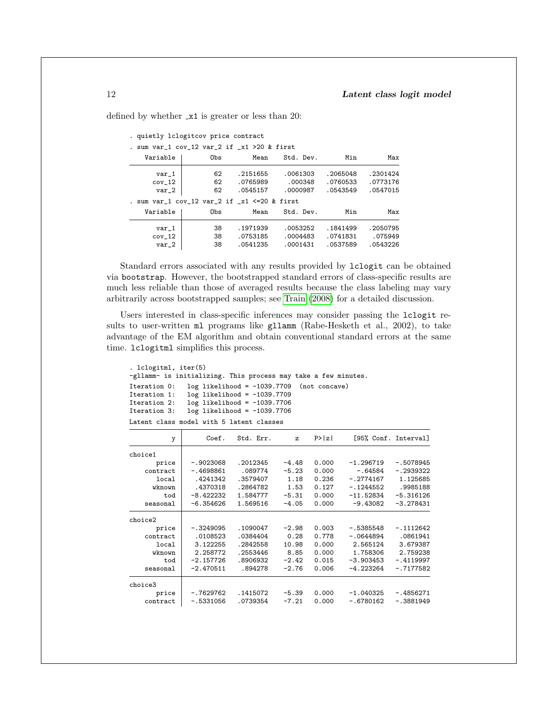defined by whether  $\mathbf{\dot{x}}$ 1 is greater or less than 20:

| . quietly lclogitcov price contract                |     |          |           |          |          |
|----------------------------------------------------|-----|----------|-----------|----------|----------|
| . sum $var_1$ cov_12 $var_2$ if $_x1 > 20$ & first |     |          |           |          |          |
| Variable                                           | Obs | Mean     | Std. Dev. | Min      | Max      |
| var 1                                              | 62  | .2151655 | .0061303  | .2065048 | .2301424 |
| cov <sub>12</sub>                                  | 62  | .0765989 | .000348   | .0760533 | .0773176 |
| $var_2$                                            | 62  | .0545157 | .0000987  | .0543549 | .0547015 |
| . sum $var_1$ cov_12 var_2 if _x1 <=20 & first     |     |          |           |          |          |
| Variable                                           | Obs | Mean     | Std. Dev. | Min      | Max      |
| var 1                                              | 38  | .1971939 | .0053252  | .1841499 | .2050795 |
| cov <sub>12</sub>                                  | 38  | .0753185 | .0004483  | .0741831 | .075949  |
| var 2                                              | 38  | .0541235 | .0001431  | .0537589 | .0543226 |

Standard errors associated with any results provided by lclogit can be obtained via bootstrap. However, the bootstrapped standard errors of class-specific results are much less reliable than those of averaged results because the class labeling may vary arbitrarily across bootstrapped samples; see [Train](#page-14-3) [\(2008\)](#page-14-3) for a detailed discussion.

Users interested in class-specific inferences may consider passing the lclogit results to user-written ml programs like gllamm (Rabe-Hesketh et al., 2002), to take advantage of the EM algorithm and obtain conventional standard errors at the same time. lclogitml simplifies this process.

```
. lclogitml, iter(5)
-gllamm- is initializing. This process may take a few minutes.
Iteration 0: log likelihood = -1039.7709 (not concave)<br>Iteration 1: log likelihood = -1039.7709Iteration 1: log likelihood = -1039.7709<br>Iteration 2: log likelihood = -1039.7706
                   log likelihood = -1039.7706
Iteration 3: log likelihood = -1039.7706
Latent class model with 5 latent classes
```

| y        | Coef.       | Std. Err. | $\mathbf{z}$ | P >  Z |             | [95% Conf. Interval] |
|----------|-------------|-----------|--------------|--------|-------------|----------------------|
| choice1  |             |           |              |        |             |                      |
| price    | $-.9023068$ | .2012345  | $-4.48$      | 0.000  | $-1.296719$ | $-.5078945$          |
| contract | $-.4698861$ | .089774   | $-5.23$      | 0.000  | $-.64584$   | $-.2939322$          |
| local    | .4241342    | .3579407  | 1.18         | 0.236  | $-.2774167$ | 1.125685             |
| wknown   | .4370318    | .2864782  | 1.53         | 0.127  | $-.1244552$ | .9985188             |
| tod      | $-8.422232$ | 1.584777  | $-5.31$      | 0.000  | $-11.52834$ | $-5.316126$          |
| seasonal | $-6.354626$ | 1.569516  | $-4.05$      | 0.000  | $-9.43082$  | $-3.278431$          |
| choice2  |             |           |              |        |             |                      |
| price    | $-.3249095$ | .1090047  | $-2.98$      | 0.003  | $-.5385548$ | $-.1112642$          |
| contract | .0108523    | .0384404  | 0.28         | 0.778  | $-.0644894$ | .0861941             |
| local    | 3.122255    | .2842558  | 10.98        | 0.000  | 2.565124    | 3.679387             |
| wknown   | 2.258772    | .2553446  | 8.85         | 0.000  | 1.758306    | 2.759238             |
| tod      | $-2.157726$ | .8906932  | $-2.42$      | 0.015  | $-3.903453$ | $-.4119997$          |
| seasonal | $-2.470511$ | .894278   | $-2.76$      | 0.006  | $-4.223264$ | $-.7177582$          |
| choice3  |             |           |              |        |             |                      |
| price    | $-.7629762$ | .1415072  | $-5.39$      | 0.000  | $-1.040325$ | $-.4856271$          |
| contract | $-.5331056$ | .0739354  | $-7.21$      | 0.000  | $-.6780162$ | $-.3881949$          |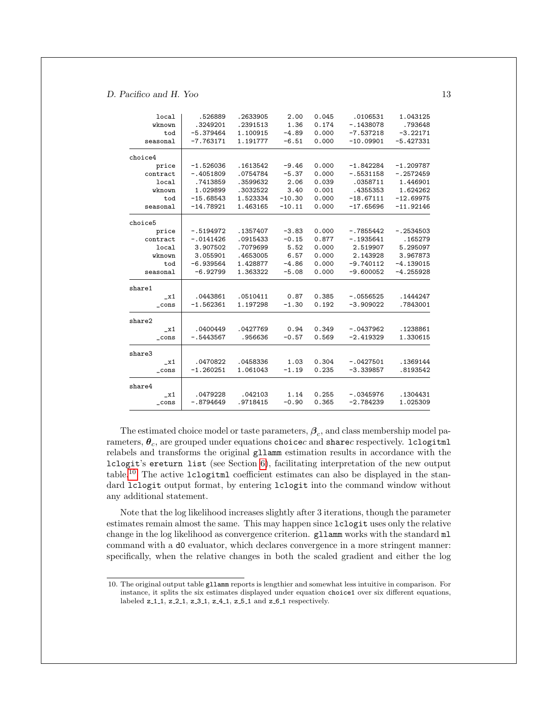| local          | .526889     | .2633905 | 2.00     | 0.045 | .0106531    | 1.043125    |
|----------------|-------------|----------|----------|-------|-------------|-------------|
| wknown         | .3249201    | .2391513 | 1.36     | 0.174 | $-.1438078$ | .793648     |
| tod            | $-5.379464$ | 1.100915 | $-4.89$  | 0.000 | $-7.537218$ | $-3.22171$  |
| seasonal       | $-7.763171$ | 1.191777 | $-6.51$  | 0.000 | $-10.09901$ | $-5.427331$ |
|                |             |          |          |       |             |             |
| choice4        |             |          |          |       |             |             |
| price          | $-1.526036$ | .1613542 | $-9.46$  | 0.000 | $-1.842284$ | $-1.209787$ |
| contract       | $-.4051809$ | .0754784 | $-5.37$  | 0.000 | $-.5531158$ | $-.2572459$ |
| local          | .7413859    | .3599632 | 2.06     | 0.039 | .0358711    | 1.446901    |
| wknown         | 1.029899    | .3032522 | 3.40     | 0.001 | .4355353    | 1.624262    |
| tod            | $-15.68543$ | 1.523334 | $-10.30$ | 0.000 | $-18.67111$ | $-12.69975$ |
| seasonal       | $-14.78921$ | 1.463165 | $-10.11$ | 0.000 | $-17.65696$ | $-11.92146$ |
| choice5        |             |          |          |       |             |             |
| price          | $-.5194972$ | .1357407 | $-3.83$  | 0.000 | $-.7855442$ | $-.2534503$ |
| contract       | $-.0141426$ | .0915433 | $-0.15$  | 0.877 | $-.1935641$ | .165279     |
| local          | 3.907502    | .7079699 | 5.52     | 0.000 | 2.519907    | 5.295097    |
| wknown         | 3.055901    | .4653005 | 6.57     | 0.000 | 2.143928    | 3.967873    |
| tod            | $-6.939564$ | 1.428877 | $-4.86$  | 0.000 | $-9.740112$ | $-4.139015$ |
| seasonal       | $-6.92799$  | 1.363322 | $-5.08$  | 0.000 | $-9.600052$ | $-4.255928$ |
|                |             |          |          |       |             |             |
| share1         |             |          |          |       |             |             |
| $\ge 1$        | .0443861    | .0510411 | 0.87     | 0.385 | $-.0556525$ | .1444247    |
| _cons          | $-1.562361$ | 1.197298 | $-1.30$  | 0.192 | $-3.909022$ | .7843001    |
| share2         |             |          |          |       |             |             |
| x1             | .0400449    | .0427769 | 0.94     | 0.349 | $-.0437962$ | .1238861    |
| $\_cons$       | $-.5443567$ | .956636  | $-0.57$  | 0.569 | $-2.419329$ | 1.330615    |
| share3         |             |          |          |       |             |             |
| x1             | .0470822    | .0458336 | 1.03     | 0.304 | $-.0427501$ | .1369144    |
| $_{\rm -cons}$ | $-1.260251$ | 1.061043 | $-1.19$  | 0.235 | $-3.339857$ | .8193542    |
| share4         |             |          |          |       |             |             |
| $\_x1$         | .0479228    | .042103  | 1.14     | 0.255 | $-.0345976$ | .1304431    |
| $\_cons$       | $-.8794649$ | .9718415 | $-0.90$  | 0.365 | $-2.784239$ | 1.025309    |
|                |             |          |          |       |             |             |

The estimated choice model or taste parameters,  $\beta_c$ , and class membership model parameters,  $\theta_c$ , are grouped under equations choicec and sharec respectively. lclogitml relabels and transforms the original gllamm estimation results in accordance with the lclogit's ereturn list (see Section [6\)](#page-7-0), facilitating interpretation of the new output table.[10](#page-1-0) The active lclogitml coefficient estimates can also be displayed in the standard lclogit output format, by entering lclogit into the command window without any additional statement.

Note that the log likelihood increases slightly after 3 iterations, though the parameter estimates remain almost the same. This may happen since lclogit uses only the relative change in the log likelihood as convergence criterion. gllamm works with the standard ml command with a d0 evaluator, which declares convergence in a more stringent manner: specifically, when the relative changes in both the scaled gradient and either the log

<sup>10.</sup> The original output table gllamm reports is lengthier and somewhat less intuitive in comparison. For instance, it splits the six estimates displayed under equation choice1 over six different equations, labeled z\_1\_1, z\_2\_1, z\_3\_1, z\_4\_1, z\_5\_1 and z\_6\_1 respectively.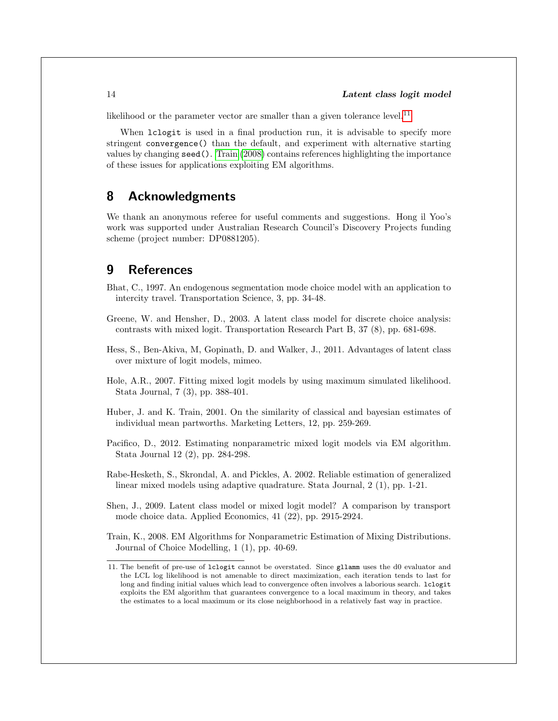likelihood or the parameter vector are smaller than a given tolerance level.<sup>[11](#page-1-0)</sup>

When lclogit is used in a final production run, it is advisable to specify more stringent convergence() than the default, and experiment with alternative starting values by changing seed(). [Train](#page-14-3) [\(2008\)](#page-14-3) contains references highlighting the importance of these issues for applications exploiting EM algorithms.

# 8 Acknowledgments

We thank an anonymous referee for useful comments and suggestions. Hong il Yoo's work was supported under Australian Research Council's Discovery Projects funding scheme (project number: DP0881205).

# 9 References

- <span id="page-14-2"></span>Bhat, C., 1997. An endogenous segmentation mode choice model with an application to intercity travel. Transportation Science, 3, pp. 34-48.
- <span id="page-14-6"></span>Greene, W. and Hensher, D., 2003. A latent class model for discrete choice analysis: contrasts with mixed logit. Transportation Research Part B, 37 (8), pp. 681-698.
- <span id="page-14-4"></span>Hess, S., Ben-Akiva, M, Gopinath, D. and Walker, J., 2011. Advantages of latent class over mixture of logit models, mimeo.
- <span id="page-14-0"></span>Hole, A.R., 2007. Fitting mixed logit models by using maximum simulated likelihood. Stata Journal, 7 (3), pp. 388-401.
- <span id="page-14-7"></span>Huber, J. and K. Train, 2001. On the similarity of classical and bayesian estimates of individual mean partworths. Marketing Letters, 12, pp. 259-269.
- <span id="page-14-1"></span>Pacifico, D., 2012. Estimating nonparametric mixed logit models via EM algorithm. Stata Journal 12 (2), pp. 284-298.
- Rabe-Hesketh, S., Skrondal, A. and Pickles, A. 2002. Reliable estimation of generalized linear mixed models using adaptive quadrature. Stata Journal, 2 (1), pp. 1-21.
- <span id="page-14-5"></span>Shen, J., 2009. Latent class model or mixed logit model? A comparison by transport mode choice data. Applied Economics, 41 (22), pp. 2915-2924.
- <span id="page-14-3"></span>Train, K., 2008. EM Algorithms for Nonparametric Estimation of Mixing Distributions. Journal of Choice Modelling, 1 (1), pp. 40-69.

<sup>11.</sup> The benefit of pre-use of lclogit cannot be overstated. Since gllamm uses the d0 evaluator and the LCL log likelihood is not amenable to direct maximization, each iteration tends to last for long and finding initial values which lead to convergence often involves a laborious search. lclogit exploits the EM algorithm that guarantees convergence to a local maximum in theory, and takes the estimates to a local maximum or its close neighborhood in a relatively fast way in practice.